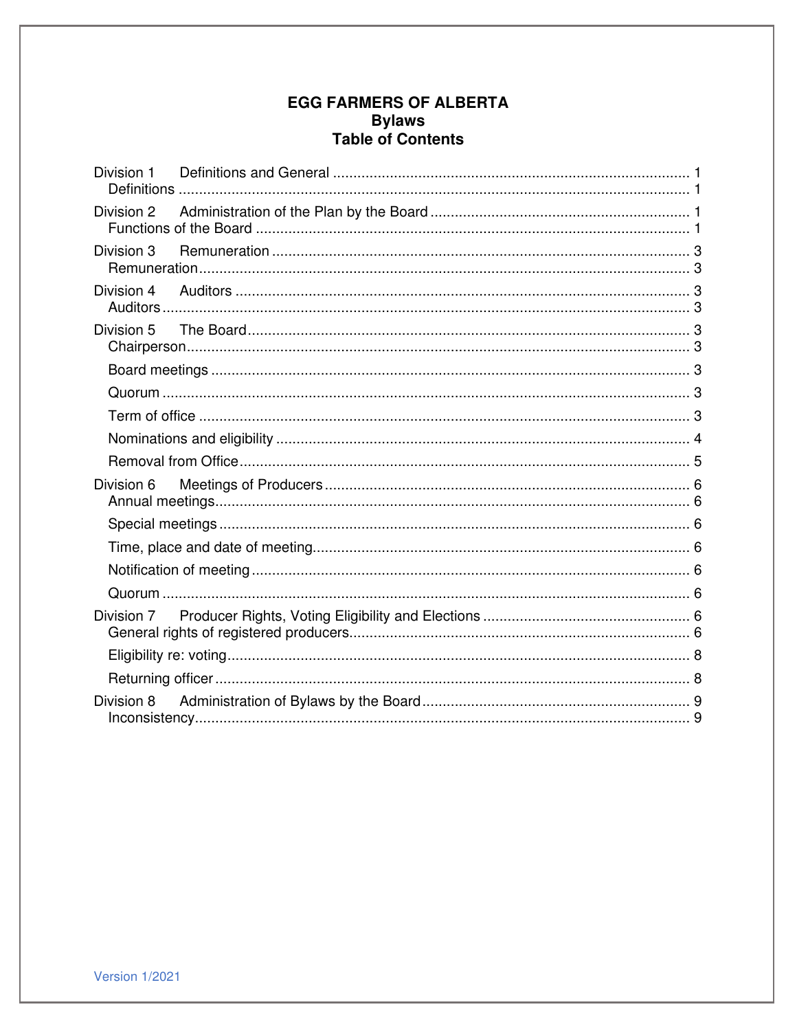# **EGG FARMERS OF ALBERTA Bylaws** Table of Contents

| Division 3 |  |  |
|------------|--|--|
|            |  |  |
|            |  |  |
|            |  |  |
|            |  |  |
|            |  |  |
|            |  |  |
|            |  |  |
| Division 6 |  |  |
|            |  |  |
|            |  |  |
|            |  |  |
|            |  |  |
| Division 7 |  |  |
|            |  |  |
|            |  |  |
|            |  |  |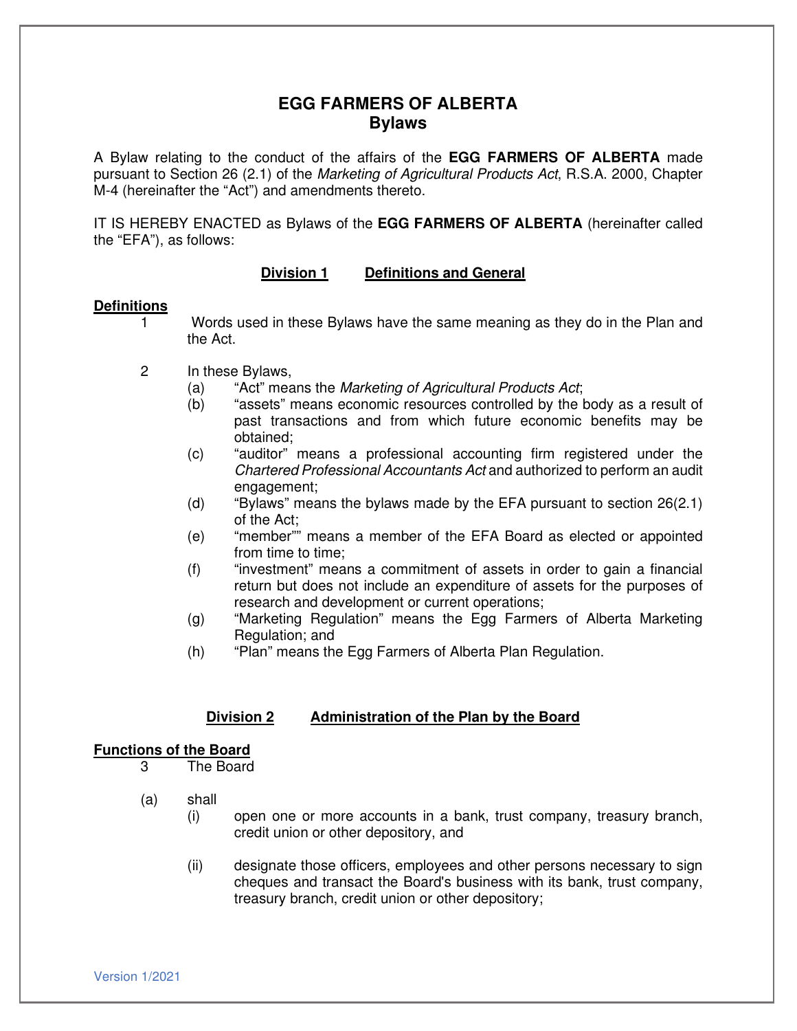## **EGG FARMERS OF ALBERTA Bylaws**

A Bylaw relating to the conduct of the affairs of the **EGG FARMERS OF ALBERTA** made pursuant to Section 26 (2.1) of the Marketing of Agricultural Products Act, R.S.A. 2000, Chapter M-4 (hereinafter the "Act") and amendments thereto.

IT IS HEREBY ENACTED as Bylaws of the **EGG FARMERS OF ALBERTA** (hereinafter called the "EFA"), as follows:

## **Division 1 Definitions and General**

## **Definitions**

- Words used in these Bylaws have the same meaning as they do in the Plan and the Act.
- 2 In these Bylaws,
	- (a) "Act" means the Marketing of Agricultural Products Act;
	- (b) "assets" means economic resources controlled by the body as a result of past transactions and from which future economic benefits may be obtained;
	- (c) "auditor" means a professional accounting firm registered under the Chartered Professional Accountants Act and authorized to perform an audit engagement;
	- (d) "Bylaws" means the bylaws made by the EFA pursuant to section 26(2.1) of the Act;
	- (e) "member"" means a member of the EFA Board as elected or appointed from time to time;
	- (f) "investment" means a commitment of assets in order to gain a financial return but does not include an expenditure of assets for the purposes of research and development or current operations;
	- (g) "Marketing Regulation" means the Egg Farmers of Alberta Marketing Regulation; and
	- (h) "Plan" means the Egg Farmers of Alberta Plan Regulation.

## **Division 2 Administration of the Plan by the Board**

## **Functions of the Board**

- 3 The Board
- (a) shall
	- (i) open one or more accounts in a bank, trust company, treasury branch, credit union or other depository, and
	- (ii) designate those officers, employees and other persons necessary to sign cheques and transact the Board's business with its bank, trust company, treasury branch, credit union or other depository;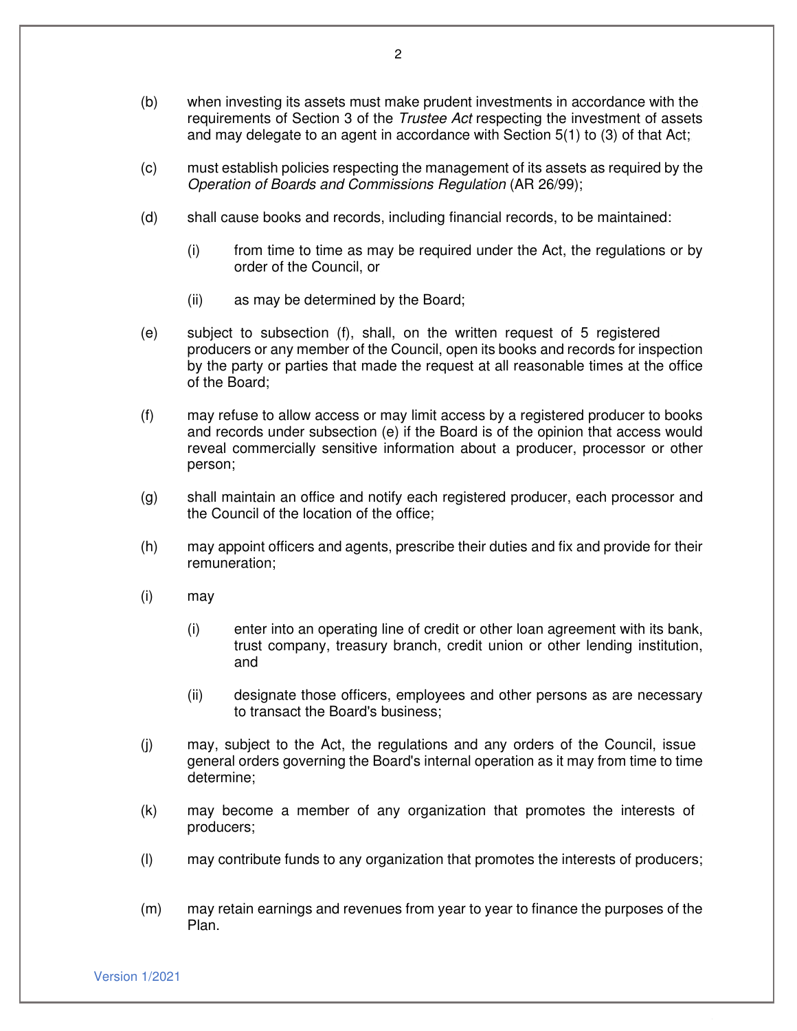- (b) when investing its assets must make prudent investments in accordance with the requirements of Section 3 of the Trustee Act respecting the investment of assets and may delegate to an agent in accordance with Section 5(1) to (3) of that Act;
- (c) must establish policies respecting the management of its assets as required by the Operation of Boards and Commissions Regulation (AR 26/99);
- (d) shall cause books and records, including financial records, to be maintained:
	- (i) from time to time as may be required under the Act, the regulations or by order of the Council, or
	- (ii) as may be determined by the Board;
- (e) subject to subsection (f), shall, on the written request of 5 registered producers or any member of the Council, open its books and records for inspection by the party or parties that made the request at all reasonable times at the office of the Board;
- (f) may refuse to allow access or may limit access by a registered producer to books and records under subsection (e) if the Board is of the opinion that access would reveal commercially sensitive information about a producer, processor or other person;
- (g) shall maintain an office and notify each registered producer, each processor and the Council of the location of the office;
- (h) may appoint officers and agents, prescribe their duties and fix and provide for their remuneration;
- (i) may
	- (i) enter into an operating line of credit or other loan agreement with its bank, trust company, treasury branch, credit union or other lending institution, and
	- (ii) designate those officers, employees and other persons as are necessary to transact the Board's business;
- (j) may, subject to the Act, the regulations and any orders of the Council, issue general orders governing the Board's internal operation as it may from time to time determine;
- (k) may become a member of any organization that promotes the interests of producers;
- (l) may contribute funds to any organization that promotes the interests of producers;
- (m) may retain earnings and revenues from year to year to finance the purposes of the Plan.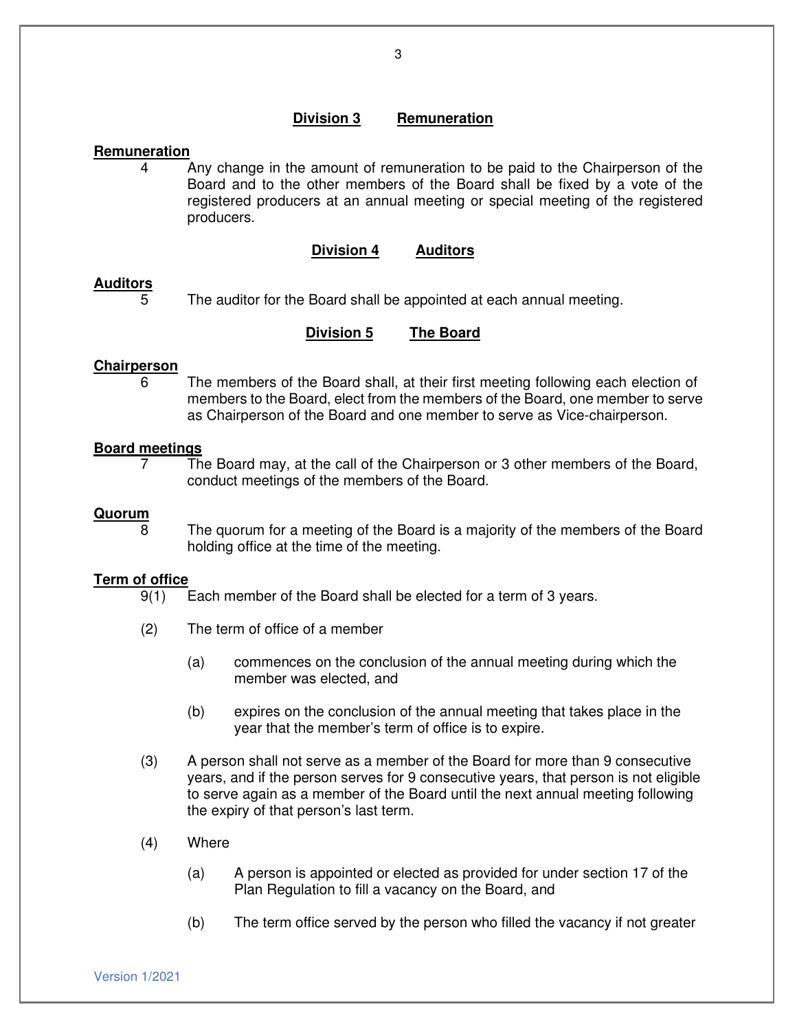## **Division 3 Remuneration**

## **Remuneration**

4 Any change in the amount of remuneration to be paid to the Chairperson of the Board and to the other members of the Board shall be fixed by a vote of the registered producers at an annual meeting or special meeting of the registered producers.

## **Division 4 Auditors**

## **Auditors**

The auditor for the Board shall be appointed at each annual meeting.

## **Division 5 The Board**

## **Chairperson**

6 The members of the Board shall, at their first meeting following each election of members to the Board, elect from the members of the Board, one member to serve as Chairperson of the Board and one member to serve as Vice-chairperson.

## **Board meetings**

7 The Board may, at the call of the Chairperson or 3 other members of the Board, conduct meetings of the members of the Board.

#### **Quorum**

8 The quorum for a meeting of the Board is a majority of the members of the Board holding office at the time of the meeting.

# **Term of office**<br>9(1)

- Each member of the Board shall be elected for a term of 3 years.
- (2) The term of office of a member
	- (a) commences on the conclusion of the annual meeting during which the member was elected, and
	- (b) expires on the conclusion of the annual meeting that takes place in the year that the member's term of office is to expire.
- (3) A person shall not serve as a member of the Board for more than 9 consecutive years, and if the person serves for 9 consecutive years, that person is not eligible to serve again as a member of the Board until the next annual meeting following the expiry of that person's last term.
- (4) Where
	- (a) A person is appointed or elected as provided for under section 17 of the Plan Regulation to fill a vacancy on the Board, and
	- (b) The term office served by the person who filled the vacancy if not greater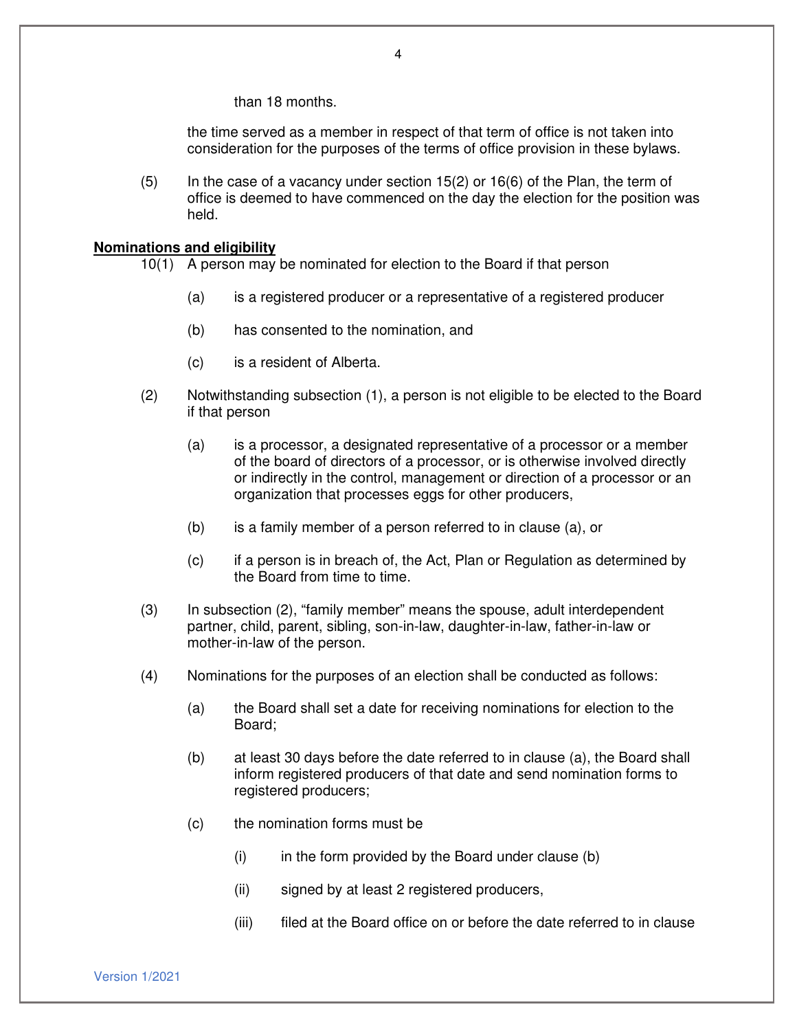than 18 months.

the time served as a member in respect of that term of office is not taken into consideration for the purposes of the terms of office provision in these bylaws.

 $(5)$  In the case of a vacancy under section 15(2) or 16(6) of the Plan, the term of office is deemed to have commenced on the day the election for the position was held.

#### **Nominations and eligibility**

10(1) A person may be nominated for election to the Board if that person

- (a) is a registered producer or a representative of a registered producer
- (b) has consented to the nomination, and
- (c) is a resident of Alberta.
- (2) Notwithstanding subsection (1), a person is not eligible to be elected to the Board if that person
	- (a) is a processor, a designated representative of a processor or a member of the board of directors of a processor, or is otherwise involved directly or indirectly in the control, management or direction of a processor or an organization that processes eggs for other producers,
	- (b) is a family member of a person referred to in clause (a), or
	- (c) if a person is in breach of, the Act, Plan or Regulation as determined by the Board from time to time.
- (3) In subsection (2), "family member" means the spouse, adult interdependent partner, child, parent, sibling, son-in-law, daughter-in-law, father-in-law or mother-in-law of the person.
- (4) Nominations for the purposes of an election shall be conducted as follows:
	- (a) the Board shall set a date for receiving nominations for election to the Board;
	- (b) at least 30 days before the date referred to in clause (a), the Board shall inform registered producers of that date and send nomination forms to registered producers;
	- (c) the nomination forms must be
		- $(i)$  in the form provided by the Board under clause  $(b)$
		- (ii) signed by at least 2 registered producers,
		- (iii) filed at the Board office on or before the date referred to in clause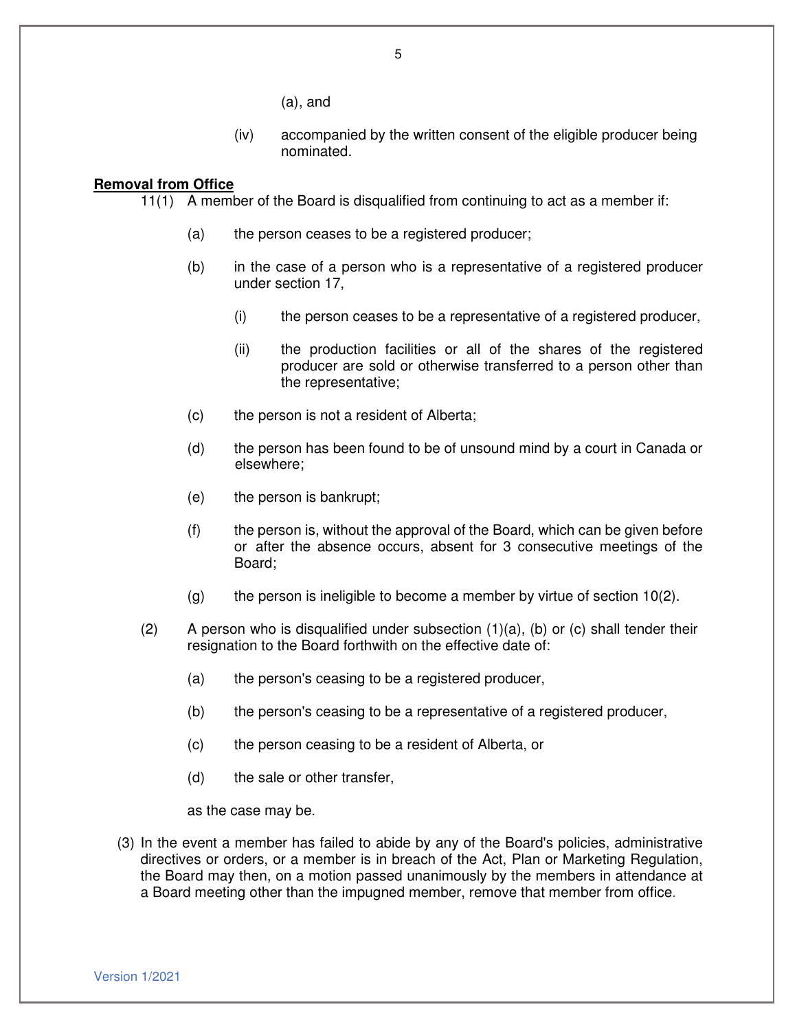(a), and

(iv) accompanied by the written consent of the eligible producer being nominated.

## **Removal from Office**

11(1) A member of the Board is disqualified from continuing to act as a member if:

- (a) the person ceases to be a registered producer;
- (b) in the case of a person who is a representative of a registered producer under section 17,
	- (i) the person ceases to be a representative of a registered producer,
	- (ii) the production facilities or all of the shares of the registered producer are sold or otherwise transferred to a person other than the representative;
- (c) the person is not a resident of Alberta;
- (d) the person has been found to be of unsound mind by a court in Canada or elsewhere;
- (e) the person is bankrupt;
- (f) the person is, without the approval of the Board, which can be given before or after the absence occurs, absent for 3 consecutive meetings of the Board;
- $(q)$  the person is ineligible to become a member by virtue of section 10(2).
- (2) A person who is disqualified under subsection  $(1)(a)$ , (b) or (c) shall tender their resignation to the Board forthwith on the effective date of:
	- (a) the person's ceasing to be a registered producer,
	- (b) the person's ceasing to be a representative of a registered producer,
	- (c) the person ceasing to be a resident of Alberta, or
	- (d) the sale or other transfer,

as the case may be.

(3) In the event a member has failed to abide by any of the Board's policies, administrative directives or orders, or a member is in breach of the Act, Plan or Marketing Regulation, the Board may then, on a motion passed unanimously by the members in attendance at a Board meeting other than the impugned member, remove that member from office.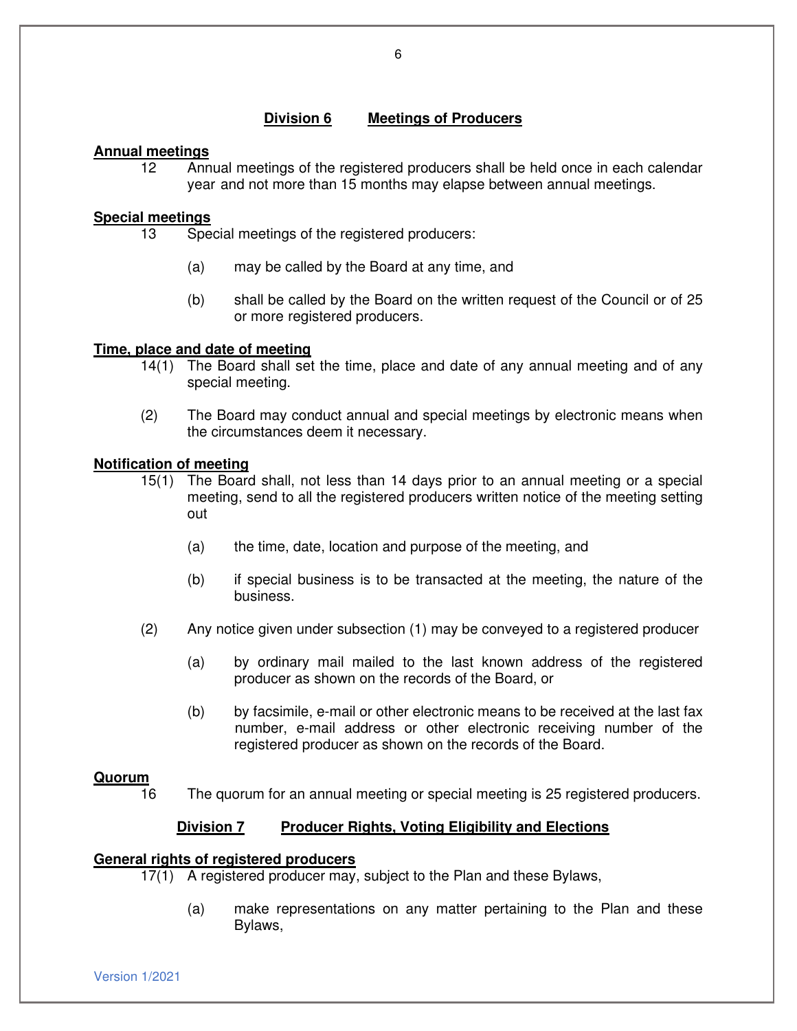## **Division 6 Meetings of Producers**

## **Annual meetings**

12 Annual meetings of the registered producers shall be held once in each calendar year and not more than 15 months may elapse between annual meetings.

## **Special meetings**

- 13 Special meetings of the registered producers:
	- (a) may be called by the Board at any time, and
	- (b) shall be called by the Board on the written request of the Council or of 25 or more registered producers.

## **Time, place and date of meeting**

- 14(1) The Board shall set the time, place and date of any annual meeting and of any special meeting.
- (2) The Board may conduct annual and special meetings by electronic means when the circumstances deem it necessary.

## **Notification of meeting**

- 15(1) The Board shall, not less than 14 days prior to an annual meeting or a special meeting, send to all the registered producers written notice of the meeting setting out
	- (a) the time, date, location and purpose of the meeting, and
	- (b) if special business is to be transacted at the meeting, the nature of the business.
- (2) Any notice given under subsection (1) may be conveyed to a registered producer
	- (a) by ordinary mail mailed to the last known address of the registered producer as shown on the records of the Board, or
	- (b) by facsimile, e-mail or other electronic means to be received at the last fax number, e-mail address or other electronic receiving number of the registered producer as shown on the records of the Board.

## **Quorum**

16 The quorum for an annual meeting or special meeting is 25 registered producers.

## **Division 7 Producer Rights, Voting Eligibility and Elections**

## **General rights of registered producers**

- 17(1) A registered producer may, subject to the Plan and these Bylaws,
	- (a) make representations on any matter pertaining to the Plan and these Bylaws,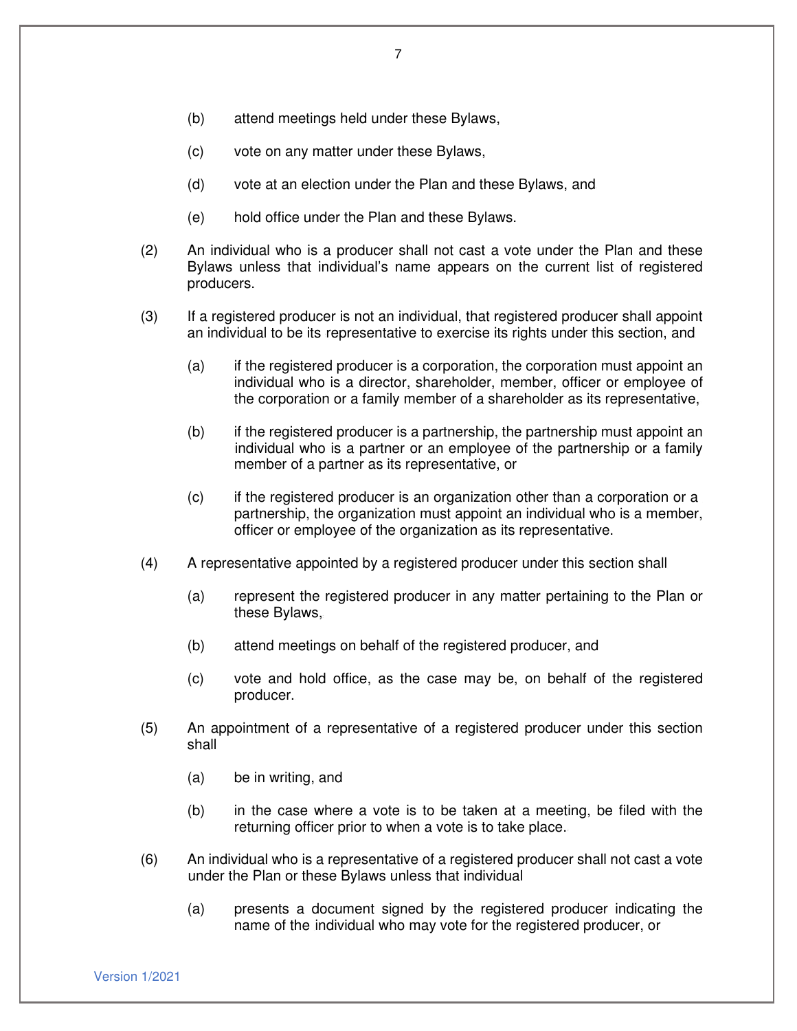- (b) attend meetings held under these Bylaws,
- (c) vote on any matter under these Bylaws,
- (d) vote at an election under the Plan and these Bylaws, and
- (e) hold office under the Plan and these Bylaws.
- (2) An individual who is a producer shall not cast a vote under the Plan and these Bylaws unless that individual's name appears on the current list of registered producers.
- (3) If a registered producer is not an individual, that registered producer shall appoint an individual to be its representative to exercise its rights under this section, and
	- (a) if the registered producer is a corporation, the corporation must appoint an individual who is a director, shareholder, member, officer or employee of the corporation or a family member of a shareholder as its representative,
	- (b) if the registered producer is a partnership, the partnership must appoint an individual who is a partner or an employee of the partnership or a family member of a partner as its representative, or
	- (c) if the registered producer is an organization other than a corporation or a partnership, the organization must appoint an individual who is a member, officer or employee of the organization as its representative.
- (4) A representative appointed by a registered producer under this section shall
	- (a) represent the registered producer in any matter pertaining to the Plan or these Bylaws,
	- (b) attend meetings on behalf of the registered producer, and
	- (c) vote and hold office, as the case may be, on behalf of the registered producer.
- (5) An appointment of a representative of a registered producer under this section shall
	- (a) be in writing, and
	- (b) in the case where a vote is to be taken at a meeting, be filed with the returning officer prior to when a vote is to take place.
- (6) An individual who is a representative of a registered producer shall not cast a vote under the Plan or these Bylaws unless that individual
	- (a) presents a document signed by the registered producer indicating the name of the individual who may vote for the registered producer, or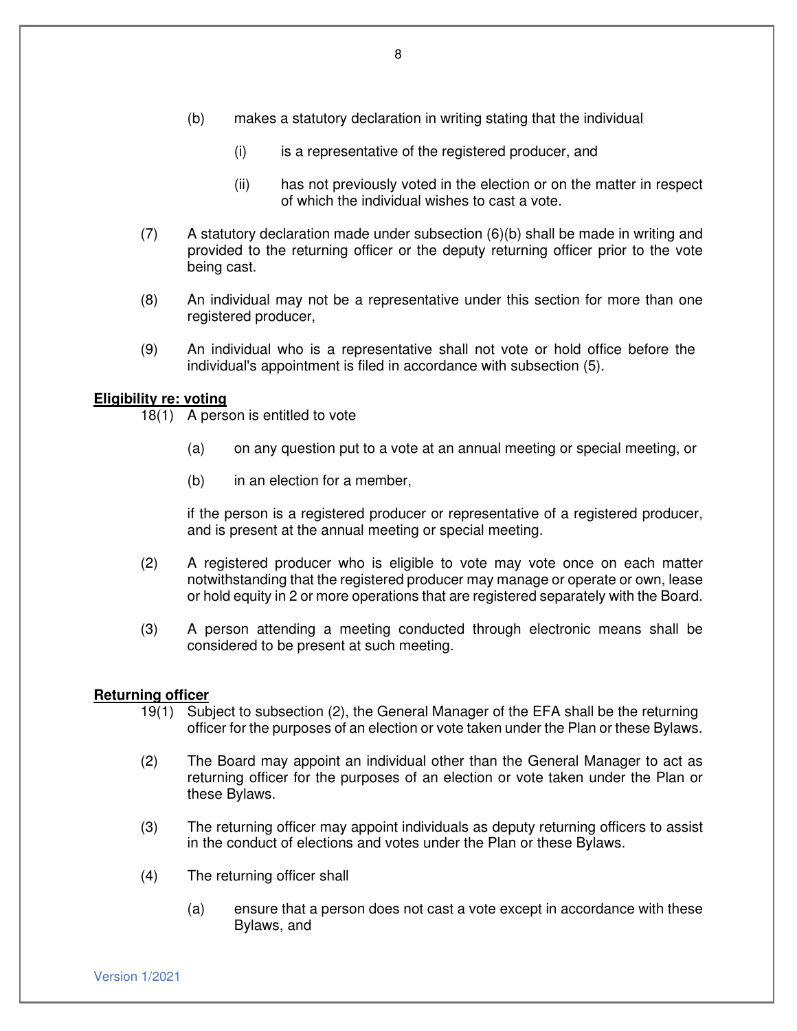- (b) makes a statutory declaration in writing stating that the individual
	- (i) is a representative of the registered producer, and
	- (ii) has not previously voted in the election or on the matter in respect of which the individual wishes to cast a vote.
- (7) A statutory declaration made under subsection (6)(b) shall be made in writing and provided to the returning officer or the deputy returning officer prior to the vote being cast.
- (8) An individual may not be a representative under this section for more than one registered producer,
- (9) An individual who is a representative shall not vote or hold office before the individual's appointment is filed in accordance with subsection (5).

## **Eligibility re: voting**

18(1) A person is entitled to vote

- (a) on any question put to a vote at an annual meeting or special meeting, or
- (b) in an election for a member,

if the person is a registered producer or representative of a registered producer, and is present at the annual meeting or special meeting.

- (2) A registered producer who is eligible to vote may vote once on each matter notwithstanding that the registered producer may manage or operate or own, lease or hold equity in 2 or more operations that are registered separately with the Board.
- (3) A person attending a meeting conducted through electronic means shall be considered to be present at such meeting.

## **Returning officer**

- 19(1) Subject to subsection (2), the General Manager of the EFA shall be the returning officer for the purposes of an election or vote taken under the Plan or these Bylaws.
- (2) The Board may appoint an individual other than the General Manager to act as returning officer for the purposes of an election or vote taken under the Plan or these Bylaws.
- (3) The returning officer may appoint individuals as deputy returning officers to assist in the conduct of elections and votes under the Plan or these Bylaws.
- (4) The returning officer shall
	- (a) ensure that a person does not cast a vote except in accordance with these Bylaws, and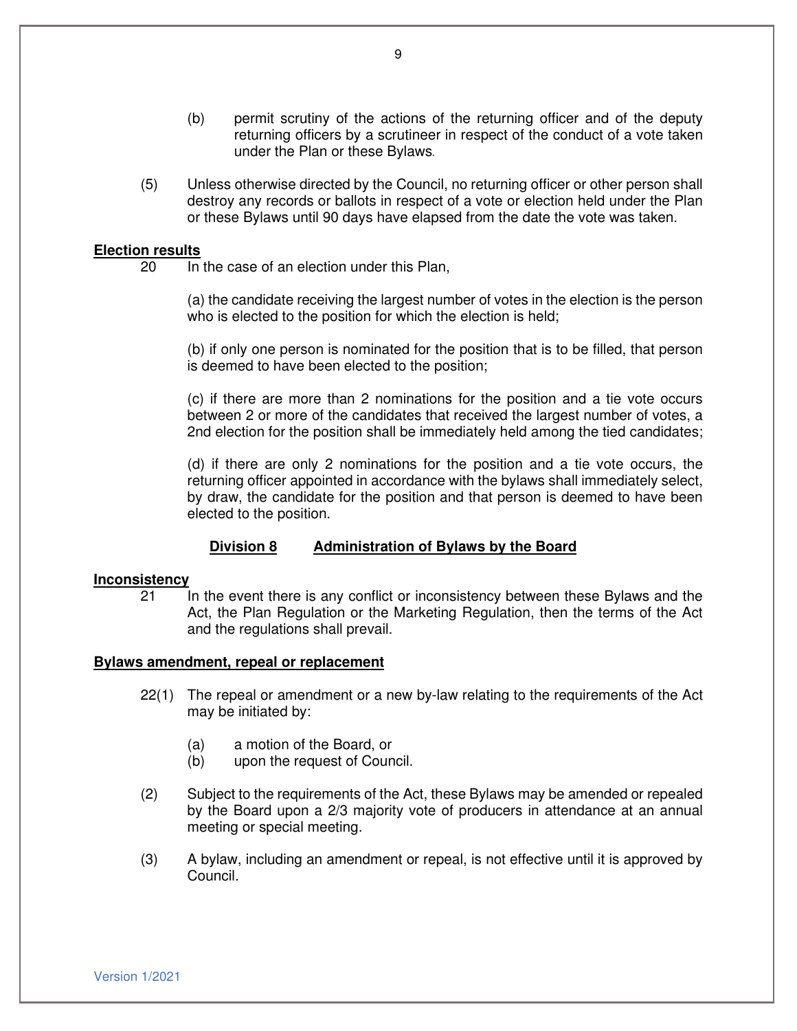- (b) permit scrutiny of the actions of the returning officer and of the deputy returning officers by a scrutineer in respect of the conduct of a vote taken under the Plan or these Bylaws
- (5) Unless otherwise directed by the Council, no returning officer or other person shall destroy any records or ballots in respect of a vote or election held under the Plan or these Bylaws until 90 days have elapsed from the date the vote was taken.

#### **Election results**

20 In the case of an election under this Plan,

(a) the candidate receiving the largest number of votes in the election is the person who is elected to the position for which the election is held;

(b) if only one person is nominated for the position that is to be filled, that person is deemed to have been elected to the position;

(c) if there are more than 2 nominations for the position and a tie vote occurs between 2 or more of the candidates that received the largest number of votes, a 2nd election for the position shall be immediately held among the tied candidates;

(d) if there are only 2 nominations for the position and a tie vote occurs, the returning officer appointed in accordance with the bylaws shall immediately select, by draw, the candidate for the position and that person is deemed to have been elected to the position.

#### **Division 8 Administration of Bylaws by the Board**

#### **Inconsistency**

21 In the event there is any conflict or inconsistency between these Bylaws and the Act, the Plan Regulation or the Marketing Regulation, then the terms of the Act and the regulations shall prevail.

#### **Bylaws amendment, repeal or replacement**

- 22(1) The repeal or amendment or a new by-law relating to the requirements of the Act may be initiated by:
	- (a) a motion of the Board, or
	- (b) upon the request of Council.
- (2) Subject to the requirements of the Act, these Bylaws may be amended or repealed by the Board upon a 2/3 majority vote of producers in attendance at an annual meeting or special meeting.
- (3) A bylaw, including an amendment or repeal, is not effective until it is approved by Council.